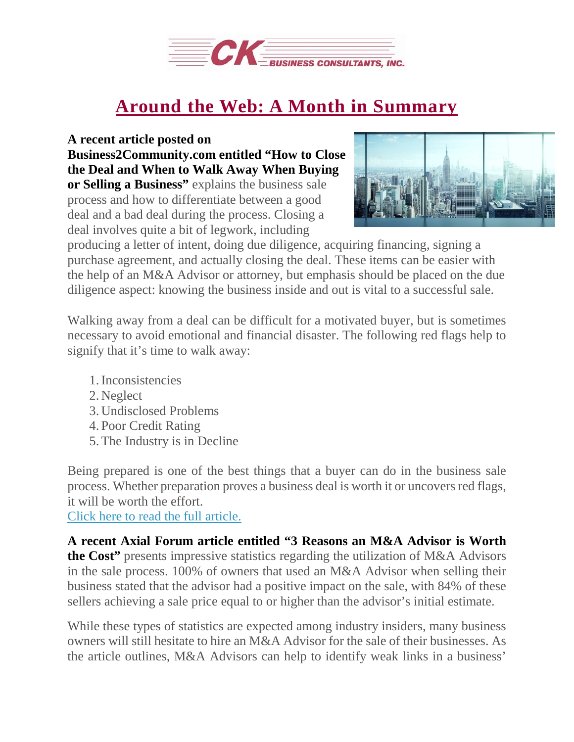

## **Around the Web: A Month in [Summary](https://deal-studio.com/around-web-month-summary-5/)**

## **A recent article posted on**

**Business2Community.com entitled "How to Close the Deal and When to Walk Away When Buying or Selling a Business"** explains the business sale process and how to differentiate between a good deal and a bad deal during the process. Closing a deal involves quite a bit of legwork, including



producing a letter of intent, doing due diligence, acquiring financing, signing a purchase agreement, and actually closing the deal. These items can be easier with the help of an M&A Advisor or attorney, but emphasis should be placed on the due diligence aspect: knowing the business inside and out is vital to a successful sale.

Walking away from a deal can be difficult for a motivated buyer, but is sometimes necessary to avoid emotional and financial disaster. The following red flags help to signify that it's time to walk away:

- 1.Inconsistencies
- 2. Neglect
- 3. Undisclosed Problems
- 4. Poor Credit Rating
- 5.The Industry is in Decline

Being prepared is one of the best things that a buyer can do in the business sale process. Whether preparation proves a business deal is worth it or uncovers red flags, it will be worth the effort.

Click here to read the full [article.](http://www.business2community.com/small-business/close-deal-walk-away-buying-selling-business-01886503#AG5XzBkqTOz2oSlz.97)

**A recent Axial Forum article entitled "3 Reasons an M&A Advisor is Worth the Cost"** presents impressive statistics regarding the utilization of M&A Advisors in the sale process. 100% of owners that used an M&A Advisor when selling their business stated that the advisor had a positive impact on the sale, with 84% of these sellers achieving a sale price equal to or higher than the advisor's initial estimate.

While these types of statistics are expected among industry insiders, many business owners will still hesitate to hire an M&A Advisor for the sale of their businesses. As the article outlines, M&A Advisors can help to identify weak links in a business'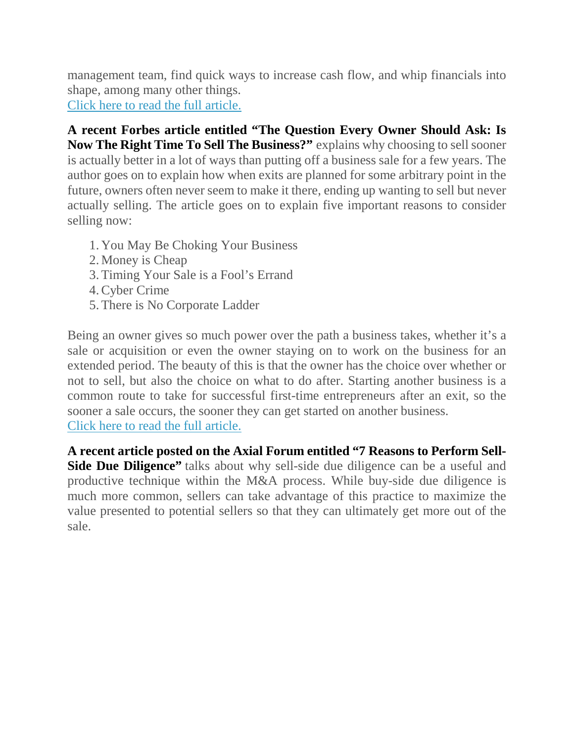management team, find quick ways to increase cash flow, and whip financials into shape, among many other things.

Click here to read the full [article.](http://www.axial.net/forum/3-reasons-ma-advisor-worth-cost/)

**A recent Forbes article entitled "The Question Every Owner Should Ask: Is Now The Right Time To Sell The Business?"** explains why choosing to sellsooner is actually better in a lot of ways than putting off a business sale for a few years. The author goes on to explain how when exits are planned for some arbitrary point in the future, owners often never seem to make it there, ending up wanting to sell but never actually selling. The article goes on to explain five important reasons to consider selling now:

- 1. You May Be Choking Your Business
- 2. Money is Cheap
- 3.Timing Your Sale is a Fool's Errand
- 4.Cyber Crime
- 5.There is No Corporate Ladder

Being an owner gives so much power over the path a business takes, whether it's a sale or acquisition or even the owner staying on to work on the business for an extended period. The beauty of this is that the owner has the choice over whether or not to sell, but also the choice on what to do after. Starting another business is a common route to take for successful first-time entrepreneurs after an exit, so the sooner a sale occurs, the sooner they can get started on another business. Click here to read the full [article.](https://www.forbes.com/sites/johnwarrillow/2017/08/09/5-reasons-to-sell-your-business-right-now/#3e4a48702201)

**A recent article posted on the Axial Forum entitled "7 Reasons to Perform Sell-Side Due Diligence"** talks about why sell-side due diligence can be a useful and productive technique within the M&A process. While buy-side due diligence is much more common, sellers can take advantage of this practice to maximize the value presented to potential sellers so that they can ultimately get more out of the sale.